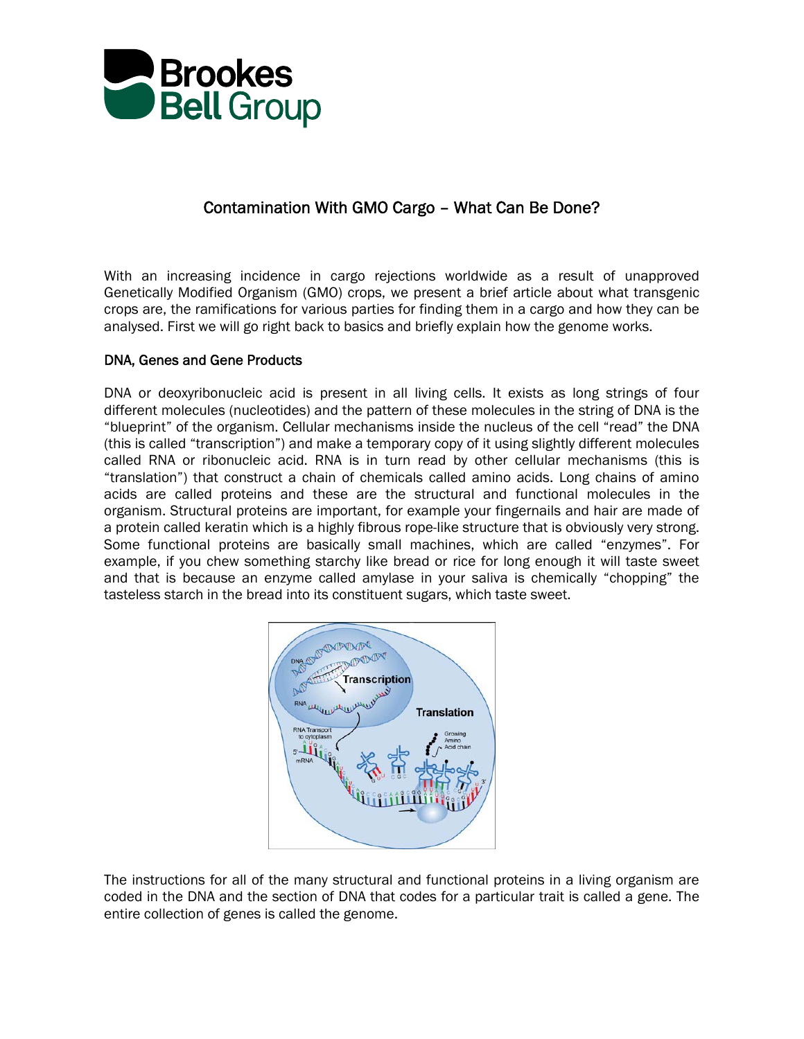

# Contamination With GMO Cargo – What Can Be Done?

With an increasing incidence in cargo rejections worldwide as a result of unapproved Genetically Modified Organism (GMO) crops, we present a brief article about what transgenic crops are, the ramifications for various parties for finding them in a cargo and how they can be analysed. First we will go right back to basics and briefly explain how the genome works.

# DNA, Genes and Gene Products

DNA or deoxyribonucleic acid is present in all living cells. It exists as long strings of four different molecules (nucleotides) and the pattern of these molecules in the string of DNA is the "blueprint" of the organism. Cellular mechanisms inside the nucleus of the cell "read" the DNA (this is called "transcription") and make a temporary copy of it using slightly different molecules called RNA or ribonucleic acid. RNA is in turn read by other cellular mechanisms (this is "translation") that construct a chain of chemicals called amino acids. Long chains of amino acids are called proteins and these are the structural and functional molecules in the organism. Structural proteins are important, for example your fingernails and hair are made of a protein called keratin which is a highly fibrous rope-like structure that is obviously very strong. Some functional proteins are basically small machines, which are called "enzymes". For example, if you chew something starchy like bread or rice for long enough it will taste sweet and that is because an enzyme called amylase in your saliva is chemically "chopping" the tasteless starch in the bread into its constituent sugars, which taste sweet.



The instructions for all of the many structural and functional proteins in a living organism are coded in the DNA and the section of DNA that codes for a particular trait is called a gene. The entire collection of genes is called the genome.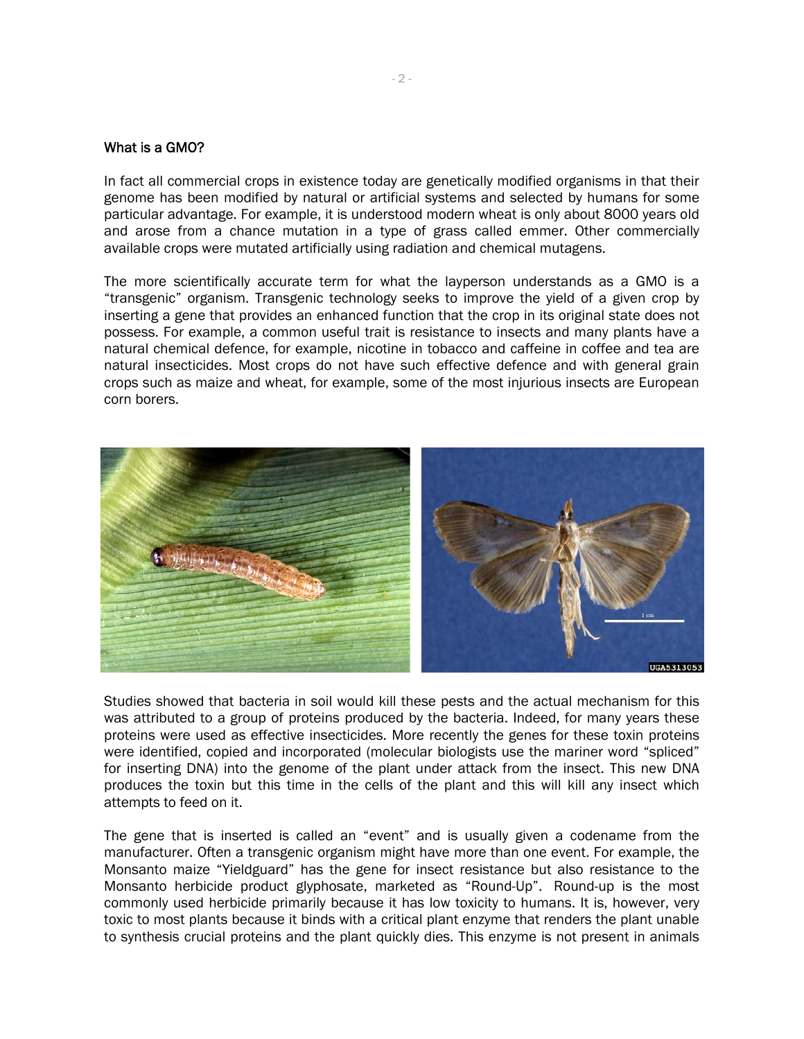#### What is a GMO?

In fact all commercial crops in existence today are genetically modified organisms in that their genome has been modified by natural or artificial systems and selected by humans for some particular advantage. For example, it is understood modern wheat is only about 8000 years old and arose from a chance mutation in a type of grass called emmer. Other commercially available crops were mutated artificially using radiation and chemical mutagens.

The more scientifically accurate term for what the layperson understands as a GMO is a "transgenic" organism. Transgenic technology seeks to improve the yield of a given crop by inserting a gene that provides an enhanced function that the crop in its original state does not possess. For example, a common useful trait is resistance to insects and many plants have a natural chemical defence, for example, nicotine in tobacco and caffeine in coffee and tea are natural insecticides. Most crops do not have such effective defence and with general grain crops such as maize and wheat, for example, some of the most injurious insects are European corn borers.



Studies showed that bacteria in soil would kill these pests and the actual mechanism for this was attributed to a group of proteins produced by the bacteria. Indeed, for many years these proteins were used as effective insecticides. More recently the genes for these toxin proteins were identified, copied and incorporated (molecular biologists use the mariner word "spliced" for inserting DNA) into the genome of the plant under attack from the insect. This new DNA produces the toxin but this time in the cells of the plant and this will kill any insect which attempts to feed on it.

The gene that is inserted is called an "event" and is usually given a codename from the manufacturer. Often a transgenic organism might have more than one event. For example, the Monsanto maize "Yieldguard" has the gene for insect resistance but also resistance to the Monsanto herbicide product glyphosate, marketed as "Round-Up". Round-up is the most commonly used herbicide primarily because it has low toxicity to humans. It is, however, very toxic to most plants because it binds with a critical plant enzyme that renders the plant unable to synthesis crucial proteins and the plant quickly dies. This enzyme is not present in animals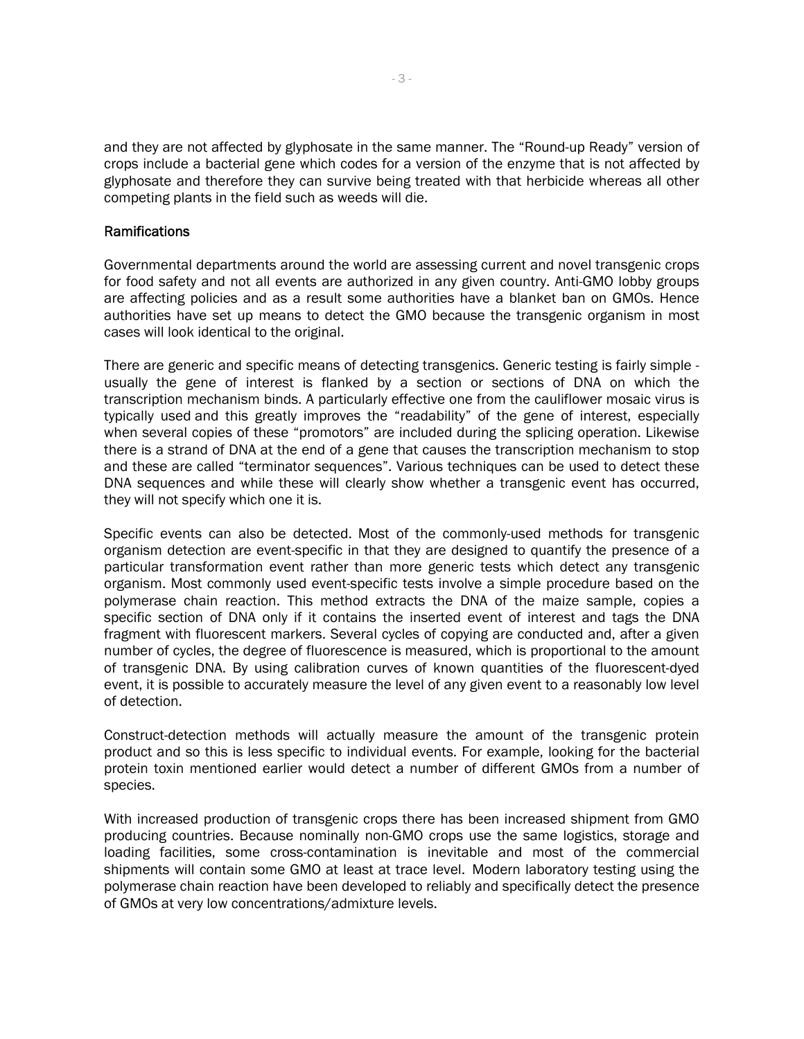and they are not affected by glyphosate in the same manner. The "Round-up Ready" version of crops include a bacterial gene which codes for a version of the enzyme that is not affected by glyphosate and therefore they can survive being treated with that herbicide whereas all other competing plants in the field such as weeds will die.

### Ramifications

Governmental departments around the world are assessing current and novel transgenic crops for food safety and not all events are authorized in any given country. Anti-GMO lobby groups are affecting policies and as a result some authorities have a blanket ban on GMOs. Hence authorities have set up means to detect the GMO because the transgenic organism in most cases will look identical to the original.

There are generic and specific means of detecting transgenics. Generic testing is fairly simple usually the gene of interest is flanked by a section or sections of DNA on which the transcription mechanism binds. A particularly effective one from the cauliflower mosaic virus is typically used and this greatly improves the "readability" of the gene of interest, especially when several copies of these "promotors" are included during the splicing operation. Likewise there is a strand of DNA at the end of a gene that causes the transcription mechanism to stop and these are called "terminator sequences". Various techniques can be used to detect these DNA sequences and while these will clearly show whether a transgenic event has occurred, they will not specify which one it is.

Specific events can also be detected. Most of the commonly-used methods for transgenic organism detection are event-specific in that they are designed to quantify the presence of a particular transformation event rather than more generic tests which detect any transgenic organism. Most commonly used event-specific tests involve a simple procedure based on the polymerase chain reaction. This method extracts the DNA of the maize sample, copies a specific section of DNA only if it contains the inserted event of interest and tags the DNA fragment with fluorescent markers. Several cycles of copying are conducted and, after a given number of cycles, the degree of fluorescence is measured, which is proportional to the amount of transgenic DNA. By using calibration curves of known quantities of the fluorescent-dyed event, it is possible to accurately measure the level of any given event to a reasonably low level of detection.

Construct-detection methods will actually measure the amount of the transgenic protein product and so this is less specific to individual events. For example, looking for the bacterial protein toxin mentioned earlier would detect a number of different GMOs from a number of species.

With increased production of transgenic crops there has been increased shipment from GMO producing countries. Because nominally non-GMO crops use the same logistics, storage and loading facilities, some cross-contamination is inevitable and most of the commercial shipments will contain some GMO at least at trace level. Modern laboratory testing using the polymerase chain reaction have been developed to reliably and specifically detect the presence of GMOs at very low concentrations/admixture levels.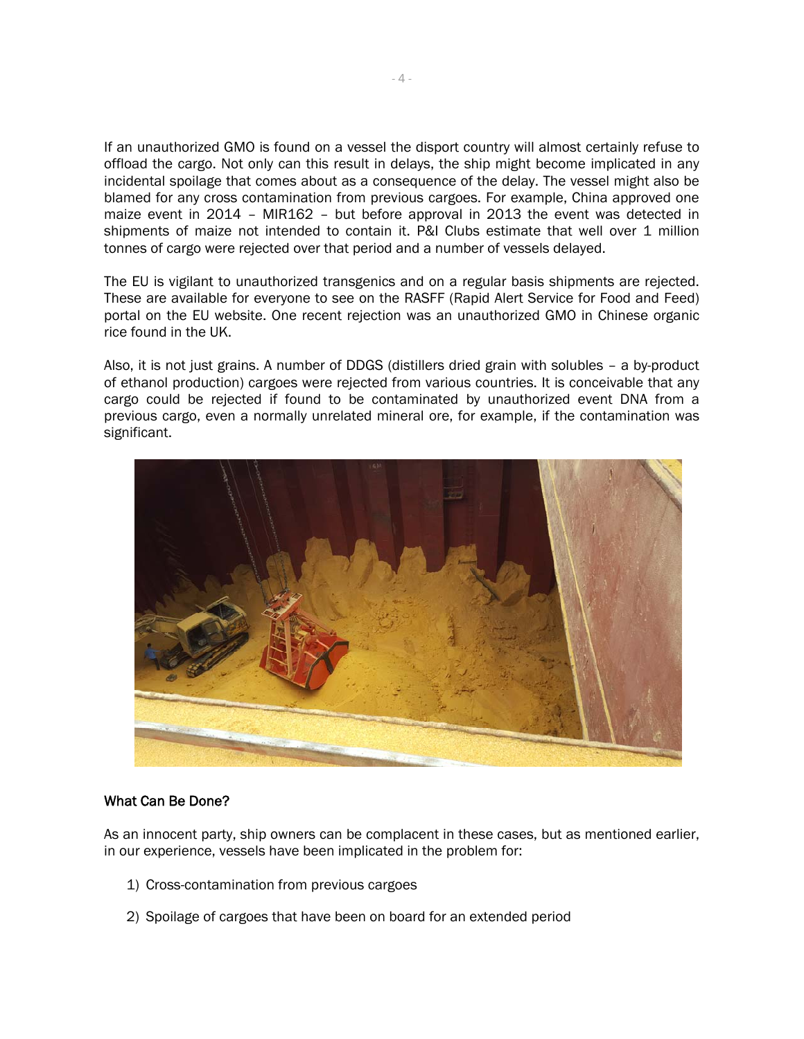If an unauthorized GMO is found on a vessel the disport country will almost certainly refuse to offload the cargo. Not only can this result in delays, the ship might become implicated in any incidental spoilage that comes about as a consequence of the delay. The vessel might also be blamed for any cross contamination from previous cargoes. For example, China approved one maize event in 2014 – MIR162 – but before approval in 2013 the event was detected in shipments of maize not intended to contain it. P&I Clubs estimate that well over 1 million tonnes of cargo were rejected over that period and a number of vessels delayed.

The EU is vigilant to unauthorized transgenics and on a regular basis shipments are rejected. These are available for everyone to see on the RASFF (Rapid Alert Service for Food and Feed) portal on the EU website. One recent rejection was an unauthorized GMO in Chinese organic rice found in the UK.

Also, it is not just grains. A number of DDGS (distillers dried grain with solubles – a by-product of ethanol production) cargoes were rejected from various countries. It is conceivable that any cargo could be rejected if found to be contaminated by unauthorized event DNA from a previous cargo, even a normally unrelated mineral ore, for example, if the contamination was significant.



## What Can Be Done?

As an innocent party, ship owners can be complacent in these cases, but as mentioned earlier, in our experience, vessels have been implicated in the problem for:

- 1) Cross-contamination from previous cargoes
- 2) Spoilage of cargoes that have been on board for an extended period